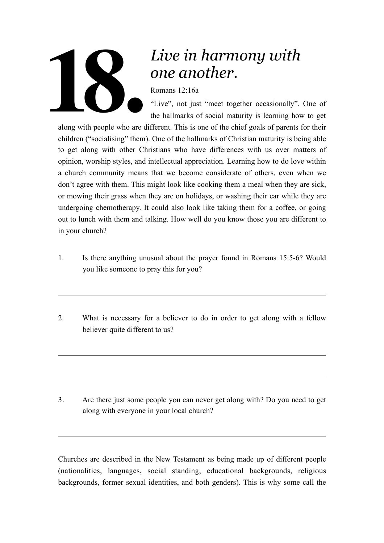

## *Live in harmony with one another.*

Romans 12:16a

"Live", not just "meet together occasionally". One of the hallmarks of social maturity is learning how to get

along with people who are different. This is one of the chief goals of parents for their children ("socialising" them). One of the hallmarks of Christian maturity is being able to get along with other Christians who have differences with us over matters of opinion, worship styles, and intellectual appreciation. Learning how to do love within a church community means that we become considerate of others, even when we don't agree with them. This might look like cooking them a meal when they are sick, or mowing their grass when they are on holidays, or washing their car while they are undergoing chemotherapy. It could also look like taking them for a coffee, or going out to lunch with them and talking. How well do you know those you are different to in your church?

- 1. Is there anything unusual about the prayer found in Romans 15:5-6? Would you like someone to pray this for you?
- 2. What is necessary for a believer to do in order to get along with a fellow believer quite different to us?

3. Are there just some people you can never get along with? Do you need to get along with everyone in your local church?

Churches are described in the New Testament as being made up of different people (nationalities, languages, social standing, educational backgrounds, religious backgrounds, former sexual identities, and both genders). This is why some call the